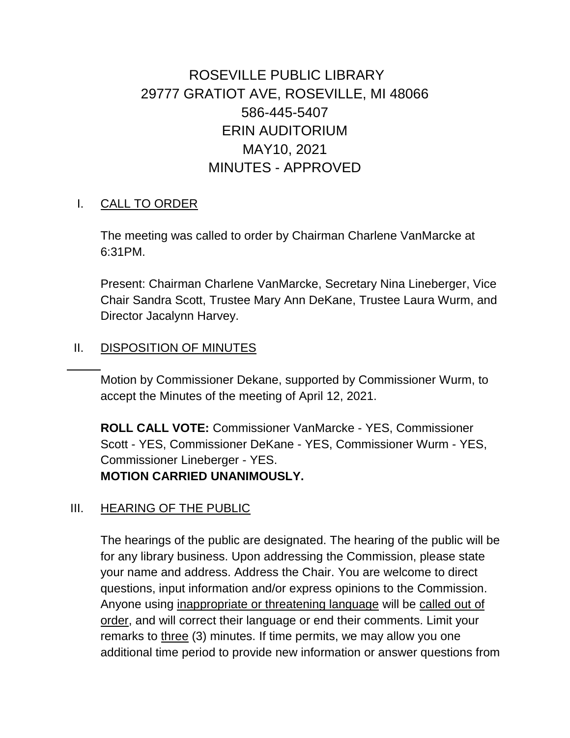# ROSEVILLE PUBLIC LIBRARY 29777 GRATIOT AVE, ROSEVILLE, MI 48066 586-445-5407 ERIN AUDITORIUM MAY10, 2021 MINUTES - APPROVED

#### I. CALL TO ORDER

The meeting was called to order by Chairman Charlene VanMarcke at 6:31PM.

Present: Chairman Charlene VanMarcke, Secretary Nina Lineberger, Vice Chair Sandra Scott, Trustee Mary Ann DeKane, Trustee Laura Wurm, and Director Jacalynn Harvey.

#### II. DISPOSITION OF MINUTES

Motion by Commissioner Dekane, supported by Commissioner Wurm, to accept the Minutes of the meeting of April 12, 2021.

**ROLL CALL VOTE:** Commissioner VanMarcke - YES, Commissioner Scott - YES, Commissioner DeKane - YES, Commissioner Wurm - YES, Commissioner Lineberger - YES. **MOTION CARRIED UNANIMOUSLY.**

#### III. HEARING OF THE PUBLIC

The hearings of the public are designated. The hearing of the public will be for any library business. Upon addressing the Commission, please state your name and address. Address the Chair. You are welcome to direct questions, input information and/or express opinions to the Commission. Anyone using inappropriate or threatening language will be called out of order, and will correct their language or end their comments. Limit your remarks to three (3) minutes. If time permits, we may allow you one additional time period to provide new information or answer questions from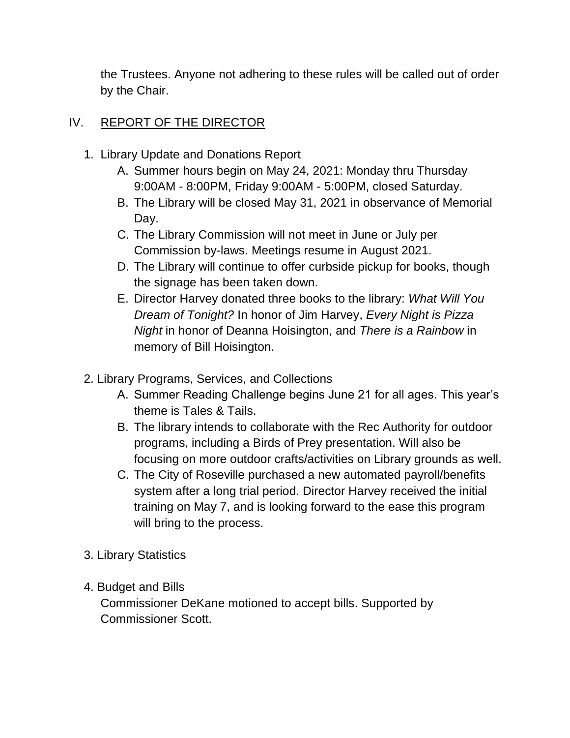the Trustees. Anyone not adhering to these rules will be called out of order by the Chair.

### IV. REPORT OF THE DIRECTOR

- 1. Library Update and Donations Report
	- A. Summer hours begin on May 24, 2021: Monday thru Thursday 9:00AM - 8:00PM, Friday 9:00AM - 5:00PM, closed Saturday.
	- B. The Library will be closed May 31, 2021 in observance of Memorial Day.
	- C. The Library Commission will not meet in June or July per Commission by-laws. Meetings resume in August 2021.
	- D. The Library will continue to offer curbside pickup for books, though the signage has been taken down.
	- E. Director Harvey donated three books to the library: *What Will You Dream of Tonight?* In honor of Jim Harvey, *Every Night is Pizza Night* in honor of Deanna Hoisington, and *There is a Rainbow* in memory of Bill Hoisington.
- 2. Library Programs, Services, and Collections
	- A. Summer Reading Challenge begins June 21 for all ages. This year's theme is Tales & Tails.
	- B. The library intends to collaborate with the Rec Authority for outdoor programs, including a Birds of Prey presentation. Will also be focusing on more outdoor crafts/activities on Library grounds as well.
	- C. The City of Roseville purchased a new automated payroll/benefits system after a long trial period. Director Harvey received the initial training on May 7, and is looking forward to the ease this program will bring to the process.
- 3. Library Statistics
- 4. Budget and Bills

Commissioner DeKane motioned to accept bills. Supported by Commissioner Scott.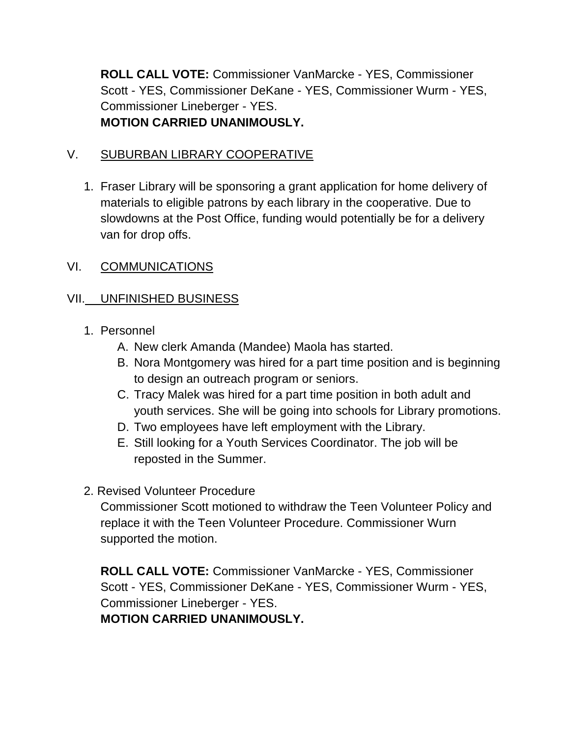**ROLL CALL VOTE:** Commissioner VanMarcke - YES, Commissioner Scott - YES, Commissioner DeKane - YES, Commissioner Wurm - YES, Commissioner Lineberger - YES. **MOTION CARRIED UNANIMOUSLY.**

### V. SUBURBAN LIBRARY COOPERATIVE

1. Fraser Library will be sponsoring a grant application for home delivery of materials to eligible patrons by each library in the cooperative. Due to slowdowns at the Post Office, funding would potentially be for a delivery van for drop offs.

### VI. COMMUNICATIONS

## VII. UNFINISHED BUSINESS

### 1. Personnel

- A. New clerk Amanda (Mandee) Maola has started.
- B. Nora Montgomery was hired for a part time position and is beginning to design an outreach program or seniors.
- C. Tracy Malek was hired for a part time position in both adult and youth services. She will be going into schools for Library promotions.
- D. Two employees have left employment with the Library.
- E. Still looking for a Youth Services Coordinator. The job will be reposted in the Summer.
- 2. Revised Volunteer Procedure

Commissioner Scott motioned to withdraw the Teen Volunteer Policy and replace it with the Teen Volunteer Procedure. Commissioner Wurn supported the motion.

**ROLL CALL VOTE:** Commissioner VanMarcke - YES, Commissioner Scott - YES, Commissioner DeKane - YES, Commissioner Wurm - YES, Commissioner Lineberger - YES. **MOTION CARRIED UNANIMOUSLY.**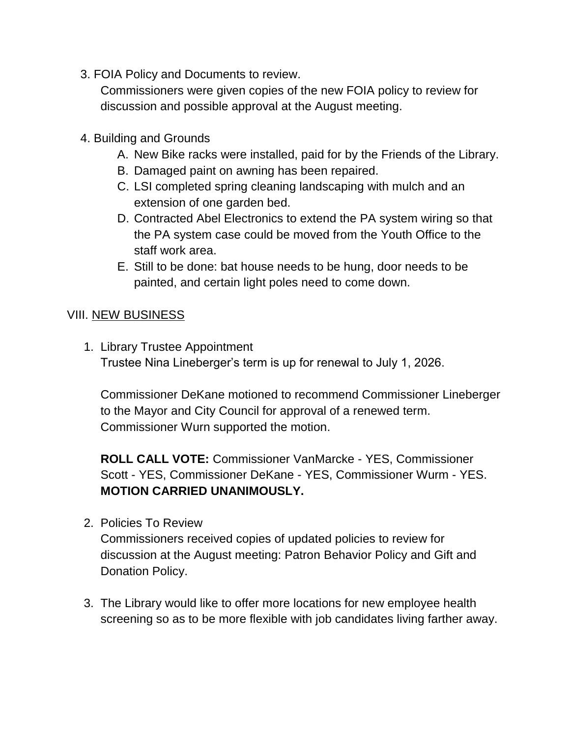3. FOIA Policy and Documents to review.

Commissioners were given copies of the new FOIA policy to review for discussion and possible approval at the August meeting.

- 4. Building and Grounds
	- A. New Bike racks were installed, paid for by the Friends of the Library.
	- B. Damaged paint on awning has been repaired.
	- C. LSI completed spring cleaning landscaping with mulch and an extension of one garden bed.
	- D. Contracted Abel Electronics to extend the PA system wiring so that the PA system case could be moved from the Youth Office to the staff work area.
	- E. Still to be done: bat house needs to be hung, door needs to be painted, and certain light poles need to come down.

### VIII. NEW BUSINESS

1. Library Trustee Appointment Trustee Nina Lineberger's term is up for renewal to July 1, 2026.

Commissioner DeKane motioned to recommend Commissioner Lineberger to the Mayor and City Council for approval of a renewed term. Commissioner Wurn supported the motion.

**ROLL CALL VOTE:** Commissioner VanMarcke - YES, Commissioner Scott - YES, Commissioner DeKane - YES, Commissioner Wurm - YES. **MOTION CARRIED UNANIMOUSLY.**

2. Policies To Review

Commissioners received copies of updated policies to review for discussion at the August meeting: Patron Behavior Policy and Gift and Donation Policy.

3. The Library would like to offer more locations for new employee health screening so as to be more flexible with job candidates living farther away.